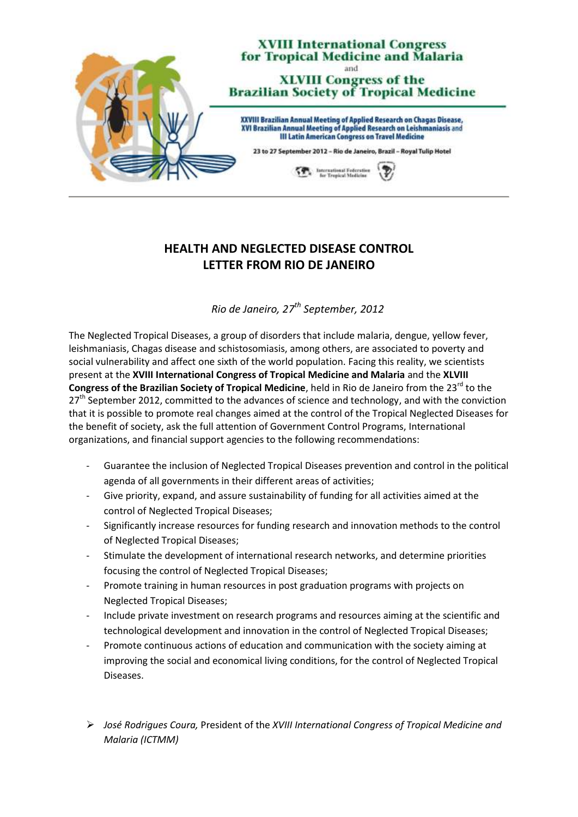

## **HEALTH AND NEGLECTED DISEASE CONTROL LETTER FROM RIO DE JANEIRO**

*Rio de Janeiro, 27th September, 2012*

The Neglected Tropical Diseases, a group of disorders that include malaria, dengue, yellow fever, leishmaniasis, Chagas disease and schistosomiasis, among others, are associated to poverty and social vulnerability and affect one sixth of the world population. Facing this reality, we scientists present at the **XVIII International Congress of Tropical Medicine and Malaria** and the **XLVIII Congress of the Brazilian Society of Tropical Medicine**, held in Rio de Janeiro from the 23<sup>rd</sup> to the 27<sup>th</sup> September 2012, committed to the advances of science and technology, and with the conviction that it is possible to promote real changes aimed at the control of the Tropical Neglected Diseases for the benefit of society, ask the full attention of Government Control Programs, International organizations, and financial support agencies to the following recommendations:

- Guarantee the inclusion of Neglected Tropical Diseases prevention and control in the political agenda of all governments in their different areas of activities;
- Give priority, expand, and assure sustainability of funding for all activities aimed at the control of Neglected Tropical Diseases;
- Significantly increase resources for funding research and innovation methods to the control of Neglected Tropical Diseases;
- Stimulate the development of international research networks, and determine priorities focusing the control of Neglected Tropical Diseases;
- Promote training in human resources in post graduation programs with projects on Neglected Tropical Diseases;
- Include private investment on research programs and resources aiming at the scientific and technological development and innovation in the control of Neglected Tropical Diseases;
- Promote continuous actions of education and communication with the society aiming at improving the social and economical living conditions, for the control of Neglected Tropical Diseases.
- *José Rodrigues Coura,* President of the *XVIII International Congress of Tropical Medicine and Malaria (ICTMM)*